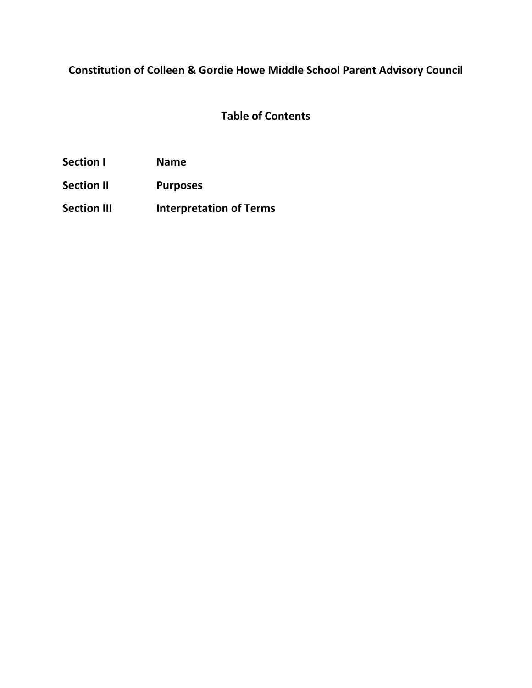## **Constitution of Colleen & Gordie Howe Middle School Parent Advisory Council**

## **Table of Contents**

**Section I Name**

**Section II Purposes**

**Section III Interpretation of Terms**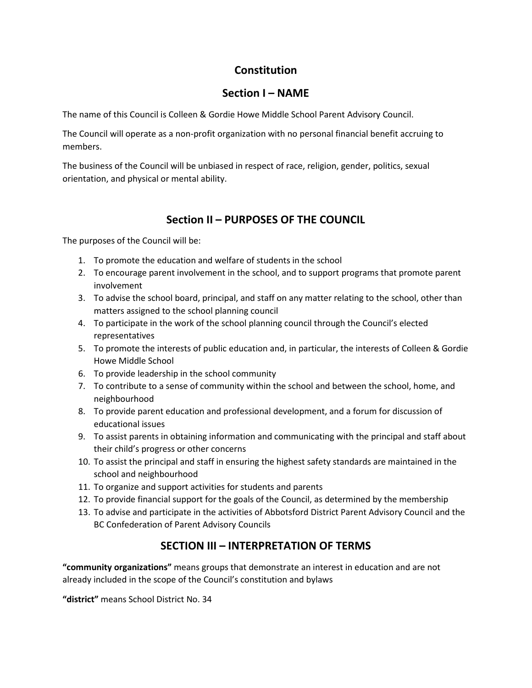### **Constitution**

### **Section I – NAME**

The name of this Council is Colleen & Gordie Howe Middle School Parent Advisory Council.

The Council will operate as a non-profit organization with no personal financial benefit accruing to members.

The business of the Council will be unbiased in respect of race, religion, gender, politics, sexual orientation, and physical or mental ability.

### **Section II – PURPOSES OF THE COUNCIL**

The purposes of the Council will be:

- 1. To promote the education and welfare of students in the school
- 2. To encourage parent involvement in the school, and to support programs that promote parent involvement
- 3. To advise the school board, principal, and staff on any matter relating to the school, other than matters assigned to the school planning council
- 4. To participate in the work of the school planning council through the Council's elected representatives
- 5. To promote the interests of public education and, in particular, the interests of Colleen & Gordie Howe Middle School
- 6. To provide leadership in the school community
- 7. To contribute to a sense of community within the school and between the school, home, and neighbourhood
- 8. To provide parent education and professional development, and a forum for discussion of educational issues
- 9. To assist parents in obtaining information and communicating with the principal and staff about their child's progress or other concerns
- 10. To assist the principal and staff in ensuring the highest safety standards are maintained in the school and neighbourhood
- 11. To organize and support activities for students and parents
- 12. To provide financial support for the goals of the Council, as determined by the membership
- 13. To advise and participate in the activities of Abbotsford District Parent Advisory Council and the BC Confederation of Parent Advisory Councils

### **SECTION III – INTERPRETATION OF TERMS**

**"community organizations"** means groups that demonstrate an interest in education and are not already included in the scope of the Council's constitution and bylaws

**"district"** means School District No. 34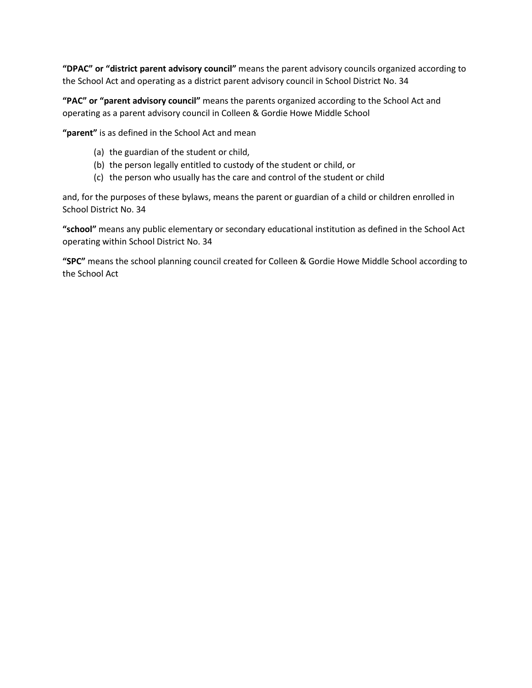**"DPAC" or "district parent advisory council"** means the parent advisory councils organized according to the School Act and operating as a district parent advisory council in School District No. 34

**"PAC" or "parent advisory council"** means the parents organized according to the School Act and operating as a parent advisory council in Colleen & Gordie Howe Middle School

**"parent"** is as defined in the School Act and mean

- (a) the guardian of the student or child,
- (b) the person legally entitled to custody of the student or child, or
- (c) the person who usually has the care and control of the student or child

and, for the purposes of these bylaws, means the parent or guardian of a child or children enrolled in School District No. 34

**"school"** means any public elementary or secondary educational institution as defined in the School Act operating within School District No. 34

**"SPC"** means the school planning council created for Colleen & Gordie Howe Middle School according to the School Act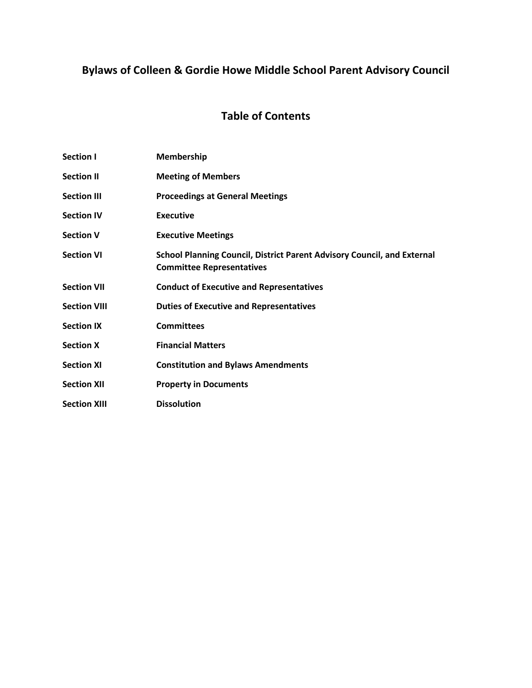# **Bylaws of Colleen & Gordie Howe Middle School Parent Advisory Council**

## **Table of Contents**

| Section I           | Membership                                                                                                         |
|---------------------|--------------------------------------------------------------------------------------------------------------------|
| <b>Section II</b>   | <b>Meeting of Members</b>                                                                                          |
| <b>Section III</b>  | <b>Proceedings at General Meetings</b>                                                                             |
| <b>Section IV</b>   | <b>Executive</b>                                                                                                   |
| <b>Section V</b>    | <b>Executive Meetings</b>                                                                                          |
| <b>Section VI</b>   | <b>School Planning Council, District Parent Advisory Council, and External</b><br><b>Committee Representatives</b> |
| <b>Section VII</b>  | <b>Conduct of Executive and Representatives</b>                                                                    |
| <b>Section VIII</b> | <b>Duties of Executive and Representatives</b>                                                                     |
| <b>Section IX</b>   | <b>Committees</b>                                                                                                  |
| <b>Section X</b>    | <b>Financial Matters</b>                                                                                           |
| <b>Section XI</b>   | <b>Constitution and Bylaws Amendments</b>                                                                          |
| <b>Section XII</b>  | <b>Property in Documents</b>                                                                                       |
| <b>Section XIII</b> | <b>Dissolution</b>                                                                                                 |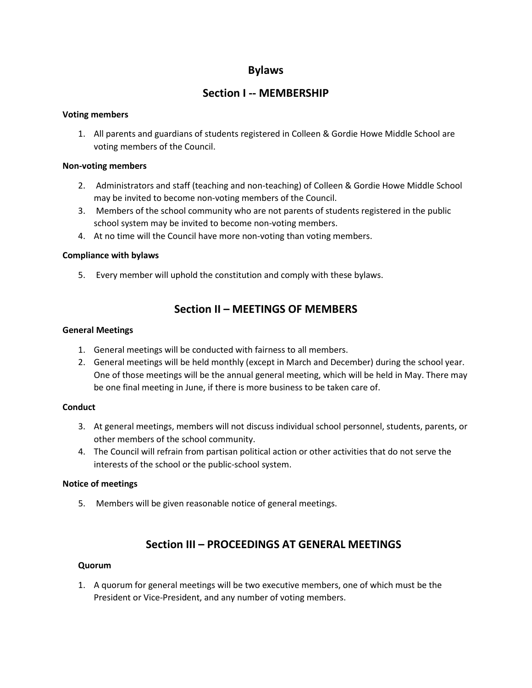### **Bylaws**

### **Section I -- MEMBERSHIP**

#### **Voting members**

1. All parents and guardians of students registered in Colleen & Gordie Howe Middle School are voting members of the Council.

#### **Non-voting members**

- 2. Administrators and staff (teaching and non-teaching) of Colleen & Gordie Howe Middle School may be invited to become non-voting members of the Council.
- 3. Members of the school community who are not parents of students registered in the public school system may be invited to become non-voting members.
- 4. At no time will the Council have more non-voting than voting members.

#### **Compliance with bylaws**

5. Every member will uphold the constitution and comply with these bylaws.

### **Section II – MEETINGS OF MEMBERS**

#### **General Meetings**

- 1. General meetings will be conducted with fairness to all members.
- 2. General meetings will be held monthly (except in March and December) during the school year. One of those meetings will be the annual general meeting, which will be held in May. There may be one final meeting in June, if there is more business to be taken care of.

#### **Conduct**

- 3. At general meetings, members will not discuss individual school personnel, students, parents, or other members of the school community.
- 4. The Council will refrain from partisan political action or other activities that do not serve the interests of the school or the public-school system.

#### **Notice of meetings**

5. Members will be given reasonable notice of general meetings.

### **Section III – PROCEEDINGS AT GENERAL MEETINGS**

#### **Quorum**

1. A quorum for general meetings will be two executive members, one of which must be the President or Vice-President, and any number of voting members.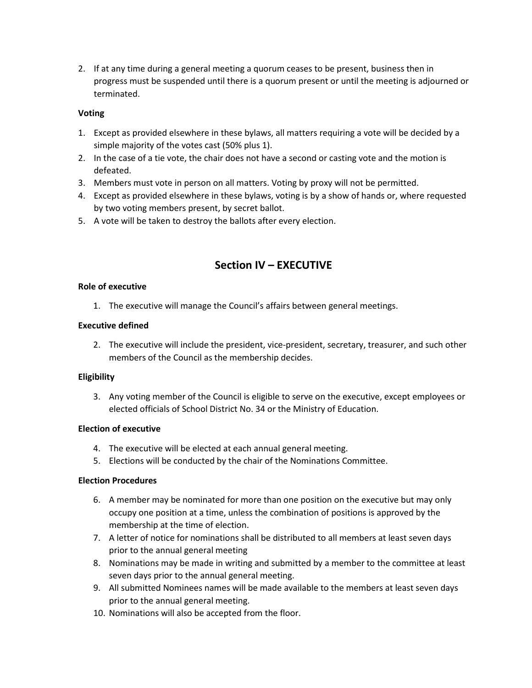2. If at any time during a general meeting a quorum ceases to be present, business then in progress must be suspended until there is a quorum present or until the meeting is adjourned or terminated.

#### **Voting**

- 1. Except as provided elsewhere in these bylaws, all matters requiring a vote will be decided by a simple majority of the votes cast (50% plus 1).
- 2. In the case of a tie vote, the chair does not have a second or casting vote and the motion is defeated.
- 3. Members must vote in person on all matters. Voting by proxy will not be permitted.
- 4. Except as provided elsewhere in these bylaws, voting is by a show of hands or, where requested by two voting members present, by secret ballot.
- 5. A vote will be taken to destroy the ballots after every election.

### **Section IV – EXECUTIVE**

#### **Role of executive**

1. The executive will manage the Council's affairs between general meetings.

#### **Executive defined**

2. The executive will include the president, vice-president, secretary, treasurer, and such other members of the Council as the membership decides.

#### **Eligibility**

3. Any voting member of the Council is eligible to serve on the executive, except employees or elected officials of School District No. 34 or the Ministry of Education.

#### **Election of executive**

- 4. The executive will be elected at each annual general meeting.
- 5. Elections will be conducted by the chair of the Nominations Committee.

#### **Election Procedures**

- 6. A member may be nominated for more than one position on the executive but may only occupy one position at a time, unless the combination of positions is approved by the membership at the time of election.
- 7. A letter of notice for nominations shall be distributed to all members at least seven days prior to the annual general meeting
- 8. Nominations may be made in writing and submitted by a member to the committee at least seven days prior to the annual general meeting.
- 9. All submitted Nominees names will be made available to the members at least seven days prior to the annual general meeting.
- 10. Nominations will also be accepted from the floor.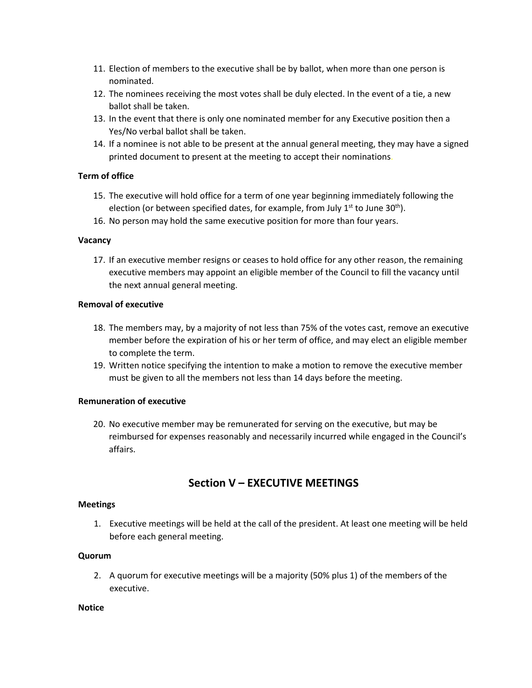- 11. Election of members to the executive shall be by ballot, when more than one person is nominated.
- 12. The nominees receiving the most votes shall be duly elected. In the event of a tie, a new ballot shall be taken.
- 13. In the event that there is only one nominated member for any Executive position then a Yes/No verbal ballot shall be taken.
- 14. If a nominee is not able to be present at the annual general meeting, they may have a signed printed document to present at the meeting to accept their nominations.

#### **Term of office**

- 15. The executive will hold office for a term of one year beginning immediately following the election (or between specified dates, for example, from July  $1<sup>st</sup>$  to June 30<sup>th</sup>).
- 16. No person may hold the same executive position for more than four years.

#### **Vacancy**

17. If an executive member resigns or ceases to hold office for any other reason, the remaining executive members may appoint an eligible member of the Council to fill the vacancy until the next annual general meeting.

#### **Removal of executive**

- 18. The members may, by a majority of not less than 75% of the votes cast, remove an executive member before the expiration of his or her term of office, and may elect an eligible member to complete the term.
- 19. Written notice specifying the intention to make a motion to remove the executive member must be given to all the members not less than 14 days before the meeting.

#### **Remuneration of executive**

20. No executive member may be remunerated for serving on the executive, but may be reimbursed for expenses reasonably and necessarily incurred while engaged in the Council's affairs.

### **Section V – EXECUTIVE MEETINGS**

#### **Meetings**

1. Executive meetings will be held at the call of the president. At least one meeting will be held before each general meeting.

#### **Quorum**

2. A quorum for executive meetings will be a majority (50% plus 1) of the members of the executive.

#### **Notice**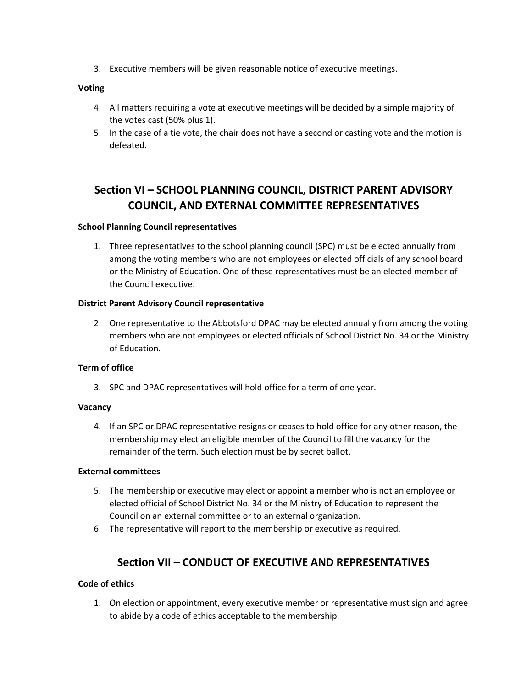3. Executive members will be given reasonable notice of executive meetings.

#### **Voting**

- 4. All matters requiring a vote at executive meetings will be decided by a simple majority of the votes cast (50% plus 1).
- 5. In the case of a tie vote, the chair does not have a second or casting vote and the motion is defeated.

## **Section VI – SCHOOL PLANNING COUNCIL, DISTRICT PARENT ADVISORY COUNCIL, AND EXTERNAL COMMITTEE REPRESENTATIVES**

#### **School Planning Council representatives**

1. Three representatives to the school planning council (SPC) must be elected annually from among the voting members who are not employees or elected officials of any school board or the Ministry of Education. One of these representatives must be an elected member of the Council executive.

#### **District Parent Advisory Council representative**

2. One representative to the Abbotsford DPAC may be elected annually from among the voting members who are not employees or elected officials of School District No. 34 or the Ministry of Education.

#### **Term of office**

3. SPC and DPAC representatives will hold office for a term of one year.

#### **Vacancy**

4. If an SPC or DPAC representative resigns or ceases to hold office for any other reason, the membership may elect an eligible member of the Council to fill the vacancy for the remainder of the term. Such election must be by secret ballot.

#### **External committees**

- 5. The membership or executive may elect or appoint a member who is not an employee or elected official of School District No. 34 or the Ministry of Education to represent the Council on an external committee or to an external organization.
- 6. The representative will report to the membership or executive as required.

### **Section VII – CONDUCT OF EXECUTIVE AND REPRESENTATIVES**

#### **Code of ethics**

1. On election or appointment, every executive member or representative must sign and agree to abide by a code of ethics acceptable to the membership.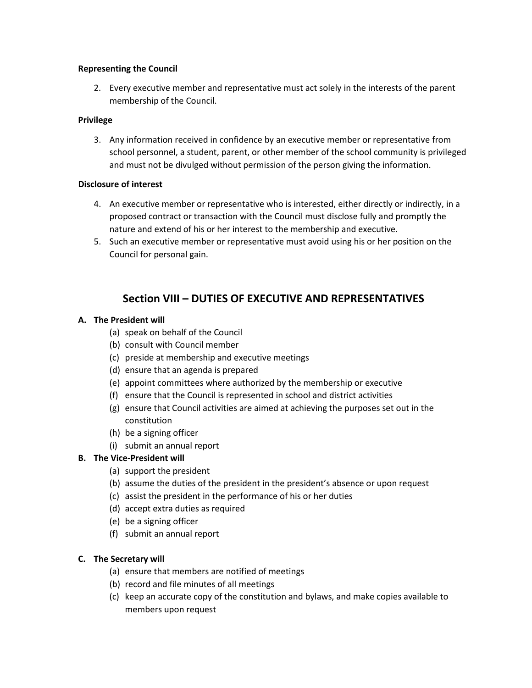#### **Representing the Council**

2. Every executive member and representative must act solely in the interests of the parent membership of the Council.

#### **Privilege**

3. Any information received in confidence by an executive member or representative from school personnel, a student, parent, or other member of the school community is privileged and must not be divulged without permission of the person giving the information.

#### **Disclosure of interest**

- 4. An executive member or representative who is interested, either directly or indirectly, in a proposed contract or transaction with the Council must disclose fully and promptly the nature and extend of his or her interest to the membership and executive.
- 5. Such an executive member or representative must avoid using his or her position on the Council for personal gain.

### **Section VIII – DUTIES OF EXECUTIVE AND REPRESENTATIVES**

#### **A. The President will**

- (a) speak on behalf of the Council
- (b) consult with Council member
- (c) preside at membership and executive meetings
- (d) ensure that an agenda is prepared
- (e) appoint committees where authorized by the membership or executive
- (f) ensure that the Council is represented in school and district activities
- (g) ensure that Council activities are aimed at achieving the purposes set out in the constitution
- (h) be a signing officer
- (i) submit an annual report

#### **B. The Vice-President will**

- (a) support the president
- (b) assume the duties of the president in the president's absence or upon request
- (c) assist the president in the performance of his or her duties
- (d) accept extra duties as required
- (e) be a signing officer
- (f) submit an annual report

#### **C. The Secretary will**

- (a) ensure that members are notified of meetings
- (b) record and file minutes of all meetings
- (c) keep an accurate copy of the constitution and bylaws, and make copies available to members upon request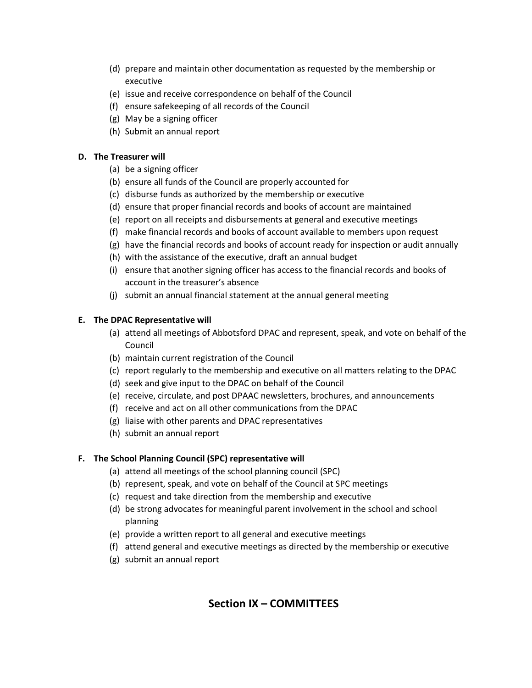- (d) prepare and maintain other documentation as requested by the membership or executive
- (e) issue and receive correspondence on behalf of the Council
- (f) ensure safekeeping of all records of the Council
- (g) May be a signing officer
- (h) Submit an annual report

#### **D. The Treasurer will**

- (a) be a signing officer
- (b) ensure all funds of the Council are properly accounted for
- (c) disburse funds as authorized by the membership or executive
- (d) ensure that proper financial records and books of account are maintained
- (e) report on all receipts and disbursements at general and executive meetings
- (f) make financial records and books of account available to members upon request
- (g) have the financial records and books of account ready for inspection or audit annually
- (h) with the assistance of the executive, draft an annual budget
- (i) ensure that another signing officer has access to the financial records and books of account in the treasurer's absence
- (j) submit an annual financial statement at the annual general meeting

#### **E. The DPAC Representative will**

- (a) attend all meetings of Abbotsford DPAC and represent, speak, and vote on behalf of the Council
- (b) maintain current registration of the Council
- (c) report regularly to the membership and executive on all matters relating to the DPAC
- (d) seek and give input to the DPAC on behalf of the Council
- (e) receive, circulate, and post DPAAC newsletters, brochures, and announcements
- (f) receive and act on all other communications from the DPAC
- (g) liaise with other parents and DPAC representatives
- (h) submit an annual report

#### **F. The School Planning Council (SPC) representative will**

- (a) attend all meetings of the school planning council (SPC)
- (b) represent, speak, and vote on behalf of the Council at SPC meetings
- (c) request and take direction from the membership and executive
- (d) be strong advocates for meaningful parent involvement in the school and school planning
- (e) provide a written report to all general and executive meetings
- (f) attend general and executive meetings as directed by the membership or executive
- (g) submit an annual report

## **Section IX – COMMITTEES**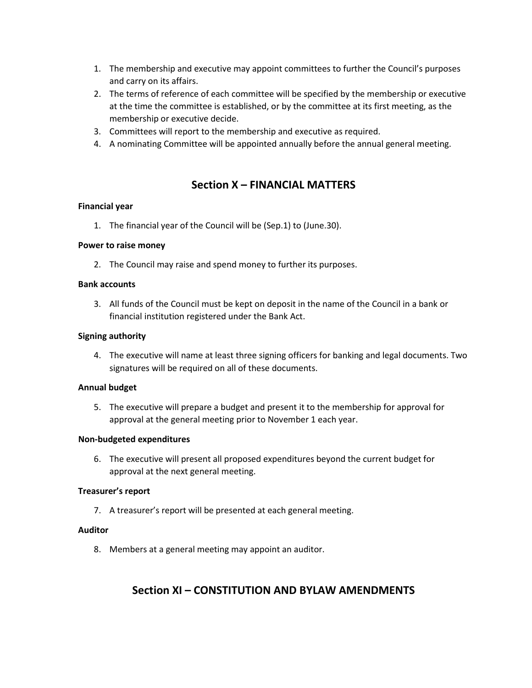- 1. The membership and executive may appoint committees to further the Council's purposes and carry on its affairs.
- 2. The terms of reference of each committee will be specified by the membership or executive at the time the committee is established, or by the committee at its first meeting, as the membership or executive decide.
- 3. Committees will report to the membership and executive as required.
- 4. A nominating Committee will be appointed annually before the annual general meeting.

### **Section X – FINANCIAL MATTERS**

#### **Financial year**

1. The financial year of the Council will be (Sep.1) to (June.30).

#### **Power to raise money**

2. The Council may raise and spend money to further its purposes.

#### **Bank accounts**

3. All funds of the Council must be kept on deposit in the name of the Council in a bank or financial institution registered under the Bank Act.

#### **Signing authority**

4. The executive will name at least three signing officers for banking and legal documents. Two signatures will be required on all of these documents.

#### **Annual budget**

5. The executive will prepare a budget and present it to the membership for approval for approval at the general meeting prior to November 1 each year.

#### **Non-budgeted expenditures**

6. The executive will present all proposed expenditures beyond the current budget for approval at the next general meeting.

#### **Treasurer's report**

7. A treasurer's report will be presented at each general meeting.

#### **Auditor**

8. Members at a general meeting may appoint an auditor.

### **Section XI – CONSTITUTION AND BYLAW AMENDMENTS**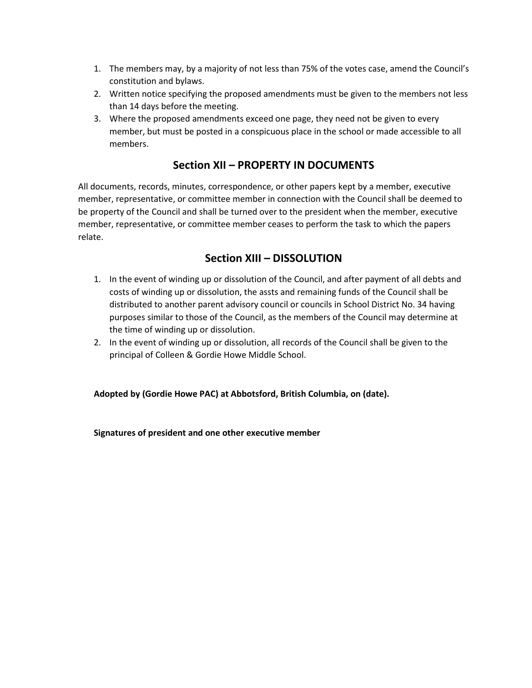- 1. The members may, by a majority of not less than 75% of the votes case, amend the Council's constitution and bylaws.
- 2. Written notice specifying the proposed amendments must be given to the members not less than 14 days before the meeting.
- 3. Where the proposed amendments exceed one page, they need not be given to every member, but must be posted in a conspicuous place in the school or made accessible to all members.

### **Section XII – PROPERTY IN DOCUMENTS**

All documents, records, minutes, correspondence, or other papers kept by a member, executive member, representative, or committee member in connection with the Council shall be deemed to be property of the Council and shall be turned over to the president when the member, executive member, representative, or committee member ceases to perform the task to which the papers relate.

### **Section XIII – DISSOLUTION**

- 1. In the event of winding up or dissolution of the Council, and after payment of all debts and costs of winding up or dissolution, the assts and remaining funds of the Council shall be distributed to another parent advisory council or councils in School District No. 34 having purposes similar to those of the Council, as the members of the Council may determine at the time of winding up or dissolution.
- 2. In the event of winding up or dissolution, all records of the Council shall be given to the principal of Colleen & Gordie Howe Middle School.

**Adopted by (Gordie Howe PAC) at Abbotsford, British Columbia, on (date).**

**Signatures of president and one other executive member**